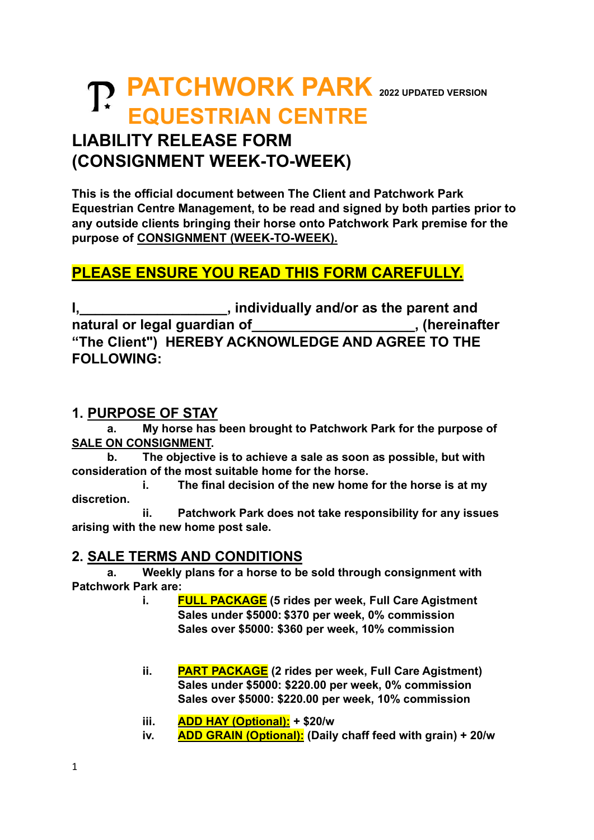# **PATCHWORK PARK <sup>2022</sup> UPDATED VERSION EQUESTRIAN CENTRE**

### **LIABILITY RELEASE FORM (CONSIGNMENT WEEK-TO-WEEK)**

**This is the official document between The Client and Patchwork Park Equestrian Centre Management, to be read and signed by both parties prior to any outside clients bringing their horse onto Patchwork Park premise for the purpose of CONSIGNMENT (WEEK-TO-WEEK).**

### **PLEASE ENSURE YOU READ THIS FORM CAREFULLY.**

**I,\_\_\_\_\_\_\_\_\_\_\_\_\_\_\_\_\_\_\_, individually and/or as the parent and**  natural or legal guardian of **the contract of the state of state of the state of the state of the state of the state of the state of the state of the state of the state of the state of the state of the state of the state o "The Client") HEREBY ACKNOWLEDGE AND AGREE TO THE FOLLOWING:**

#### **1. PURPOSE OF STAY**

**a. My horse has been brought to Patchwork Park for the purpose of SALE ON CONSIGNMENT.**

**b. The objective is to achieve a sale as soon as possible, but with consideration of the most suitable home for the horse.**

**i. The final decision of the new home for the horse is at my discretion.**

**ii. Patchwork Park does not take responsibility for any issues arising with the new home post sale.**

#### **2. SALE TERMS AND CONDITIONS**

**a. Weekly plans for a horse to be sold through consignment with Patchwork Park are:**

- **i. FULL PACKAGE (5 rides per week, Full Care Agistment Sales under \$5000: \$370 per week, 0% commission Sales over \$5000: \$360 per week, 10% commission**
- **ii. PART PACKAGE (2 rides per week, Full Care Agistment) Sales under \$5000: \$220.00 per week, 0% commission Sales over \$5000: \$220.00 per week, 10% commission**
- **iii. ADD HAY (Optional): + \$20/w**
- **iv. ADD GRAIN (Optional): (Daily chaff feed with grain) + 20/w**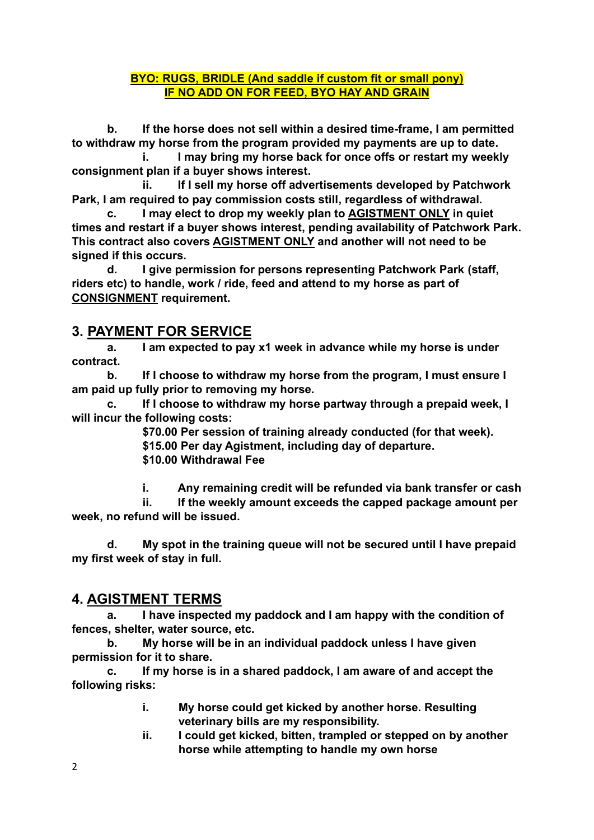#### **BYO: RUGS, BRIDLE (And saddle if custom fit or small pony) IF NO ADD ON FOR FEED, BYO HAY AND GRAIN**

**b. If the horse does not sell within a desired time-frame, I am permitted to withdraw my horse from the program provided my payments are up to date.**

**i. I may bring my horse back for once offs or restart my weekly consignment plan if a buyer shows interest.**

**ii. If I sell my horse off advertisements developed by Patchwork Park, I am required to pay commission costs still, regardless of withdrawal.**

**c. I may elect to drop my weekly plan to AGISTMENT ONLY in quiet times and restart if a buyer shows interest, pending availability of Patchwork Park. This contract also covers AGISTMENT ONLY and another will not need to be signed if this occurs.**

**d. I give permission for persons representing Patchwork Park (staff, riders etc) to handle, work / ride, feed and attend to my horse as part of CONSIGNMENT requirement.**

### **3. PAYMENT FOR SERVICE**

**a. I am expected to pay x1 week in advance while my horse is under contract.**

**b. If I choose to withdraw my horse from the program, I must ensure I am paid up fully prior to removing my horse.**

**c. If I choose to withdraw my horse partway through a prepaid week, I will incur the following costs:**

**\$70.00 Per session of training already conducted (for that week). \$15.00 Per day Agistment, including day of departure.**

**\$10.00 Withdrawal Fee**

**i. Any remaining credit will be refunded via bank transfer or cash**

**ii. If the weekly amount exceeds the capped package amount per week, no refund will be issued.**

**d. My spot in the training queue will not be secured until I have prepaid my first week of stay in full.**

#### **4. AGISTMENT TERMS**

**a. I have inspected my paddock and I am happy with the condition of fences, shelter, water source, etc.**

**b. My horse will be in an individual paddock unless I have given permission for it to share.**

**c. If my horse is in a shared paddock, I am aware of and accept the following risks:**

- **i. My horse could get kicked by another horse. Resulting veterinary bills are my responsibility.**
- **ii. I could get kicked, bitten, trampled or stepped on by another horse while attempting to handle my own horse**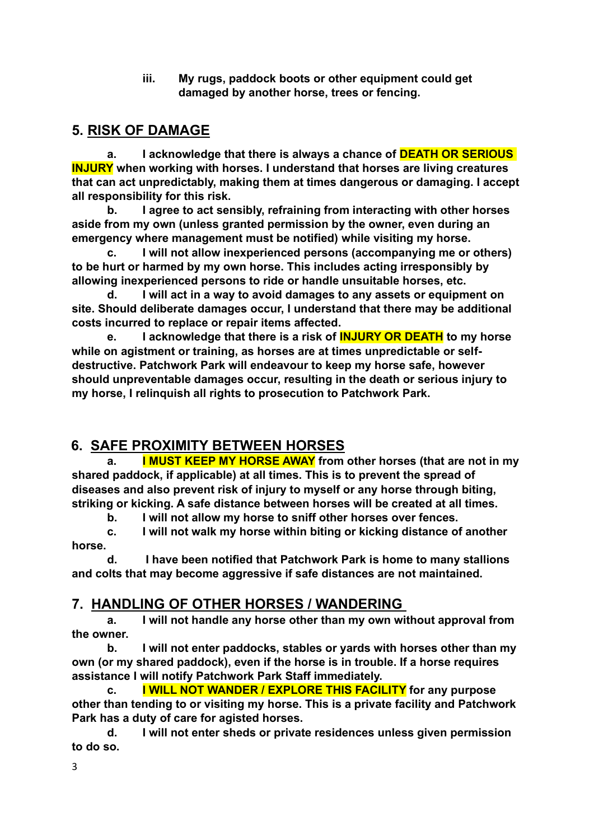**iii. My rugs, paddock boots or other equipment could get damaged by another horse, trees or fencing.**

### **5. RISK OF DAMAGE**

**a. I acknowledge that there is always a chance of DEATH OR SERIOUS INJURY when working with horses. I understand that horses are living creatures that can act unpredictably, making them at times dangerous or damaging. I accept all responsibility for this risk.**

**b. I agree to act sensibly, refraining from interacting with other horses aside from my own (unless granted permission by the owner, even during an emergency where management must be notified) while visiting my horse.** 

**c. I will not allow inexperienced persons (accompanying me or others) to be hurt or harmed by my own horse. This includes acting irresponsibly by allowing inexperienced persons to ride or handle unsuitable horses, etc.** 

**d. I will act in a way to avoid damages to any assets or equipment on site. Should deliberate damages occur, I understand that there may be additional costs incurred to replace or repair items affected.**

**e. I acknowledge that there is a risk of INJURY OR DEATH to my horse while on agistment or training, as horses are at times unpredictable or selfdestructive. Patchwork Park will endeavour to keep my horse safe, however should unpreventable damages occur, resulting in the death or serious injury to my horse, I relinquish all rights to prosecution to Patchwork Park.**

### **6. SAFE PROXIMITY BETWEEN HORSES**

**a. I MUST KEEP MY HORSE AWAY from other horses (that are not in my shared paddock, if applicable) at all times. This is to prevent the spread of diseases and also prevent risk of injury to myself or any horse through biting, striking or kicking. A safe distance between horses will be created at all times.** 

**b. I will not allow my horse to sniff other horses over fences.**

**c. I will not walk my horse within biting or kicking distance of another horse.**

**d. I have been notified that Patchwork Park is home to many stallions and colts that may become aggressive if safe distances are not maintained.**

### **7. HANDLING OF OTHER HORSES / WANDERING**

**a. I will not handle any horse other than my own without approval from the owner.**

**b. I will not enter paddocks, stables or yards with horses other than my own (or my shared paddock), even if the horse is in trouble. If a horse requires assistance I will notify Patchwork Park Staff immediately.** 

**c. I WILL NOT WANDER / EXPLORE THIS FACILITY for any purpose other than tending to or visiting my horse. This is a private facility and Patchwork Park has a duty of care for agisted horses.** 

**d. I will not enter sheds or private residences unless given permission to do so.**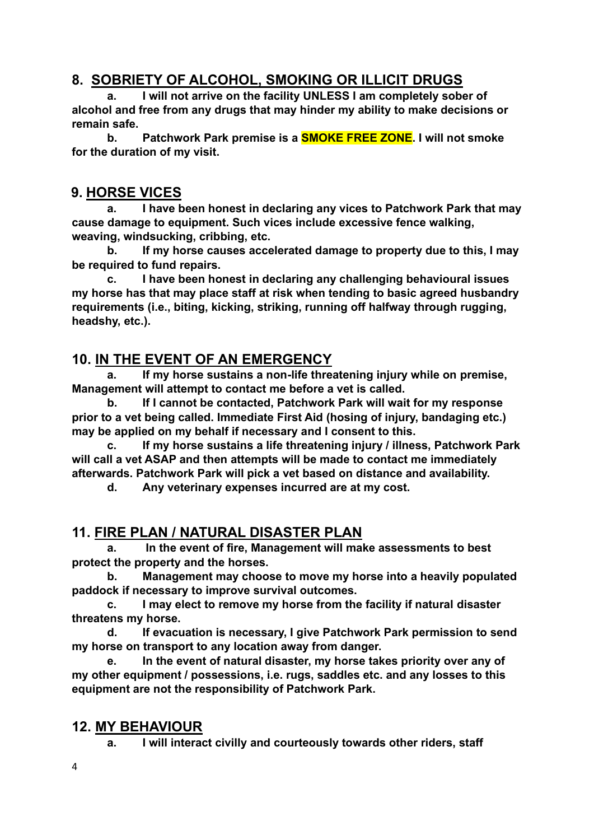### **8. SOBRIETY OF ALCOHOL, SMOKING OR ILLICIT DRUGS**

**a. I will not arrive on the facility UNLESS I am completely sober of alcohol and free from any drugs that may hinder my ability to make decisions or remain safe.**

**b. Patchwork Park premise is a SMOKE FREE ZONE. I will not smoke for the duration of my visit.**

#### **9. HORSE VICES**

**a. I have been honest in declaring any vices to Patchwork Park that may cause damage to equipment. Such vices include excessive fence walking, weaving, windsucking, cribbing, etc.** 

**b. If my horse causes accelerated damage to property due to this, I may be required to fund repairs.**

**c. I have been honest in declaring any challenging behavioural issues my horse has that may place staff at risk when tending to basic agreed husbandry requirements (i.e., biting, kicking, striking, running off halfway through rugging, headshy, etc.).**

#### **10. IN THE EVENT OF AN EMERGENCY**

**a. If my horse sustains a non-life threatening injury while on premise, Management will attempt to contact me before a vet is called.** 

**b. If I cannot be contacted, Patchwork Park will wait for my response prior to a vet being called. Immediate First Aid (hosing of injury, bandaging etc.) may be applied on my behalf if necessary and I consent to this.**

**c. If my horse sustains a life threatening injury / illness, Patchwork Park will call a vet ASAP and then attempts will be made to contact me immediately afterwards. Patchwork Park will pick a vet based on distance and availability.**

**d. Any veterinary expenses incurred are at my cost.**

#### **11. FIRE PLAN / NATURAL DISASTER PLAN**

**a. In the event of fire, Management will make assessments to best protect the property and the horses.**

**b. Management may choose to move my horse into a heavily populated paddock if necessary to improve survival outcomes.**

**c. I may elect to remove my horse from the facility if natural disaster threatens my horse.**

**d. If evacuation is necessary, I give Patchwork Park permission to send my horse on transport to any location away from danger.**

**e. In the event of natural disaster, my horse takes priority over any of my other equipment / possessions, i.e. rugs, saddles etc. and any losses to this equipment are not the responsibility of Patchwork Park.**

#### **12. MY BEHAVIOUR**

**a. I will interact civilly and courteously towards other riders, staff**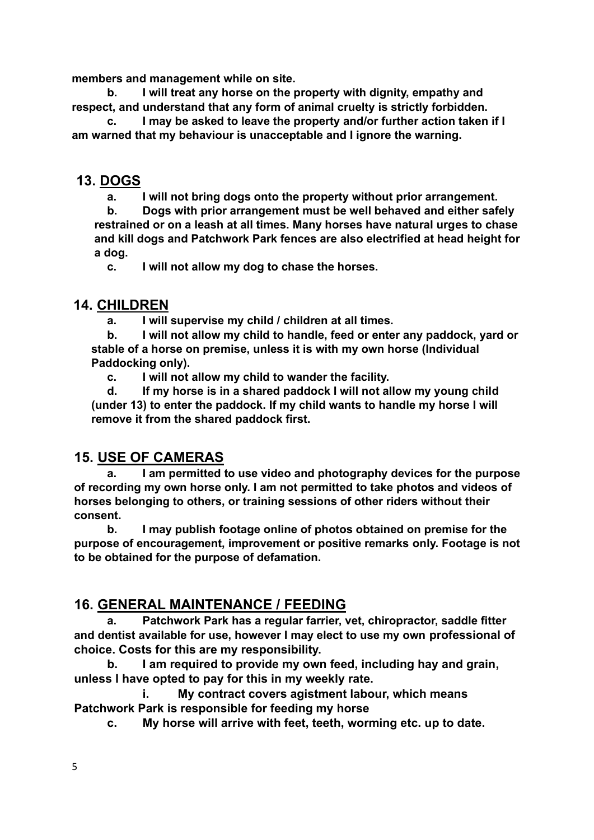**members and management while on site.** 

**b. I will treat any horse on the property with dignity, empathy and respect, and understand that any form of animal cruelty is strictly forbidden.** 

**c. I may be asked to leave the property and/or further action taken if I am warned that my behaviour is unacceptable and I ignore the warning.**

#### **13. DOGS**

**a. I will not bring dogs onto the property without prior arrangement.**

**b. Dogs with prior arrangement must be well behaved and either safely restrained or on a leash at all times. Many horses have natural urges to chase and kill dogs and Patchwork Park fences are also electrified at head height for a dog.** 

**c. I will not allow my dog to chase the horses.**

#### **14. CHILDREN**

**a. I will supervise my child / children at all times.**

**b. I will not allow my child to handle, feed or enter any paddock, yard or stable of a horse on premise, unless it is with my own horse (Individual Paddocking only).**

**c. I will not allow my child to wander the facility.**

**d. If my horse is in a shared paddock I will not allow my young child (under 13) to enter the paddock. If my child wants to handle my horse I will remove it from the shared paddock first.**

#### **15. USE OF CAMERAS**

**a. I am permitted to use video and photography devices for the purpose of recording my own horse only. I am not permitted to take photos and videos of horses belonging to others, or training sessions of other riders without their consent.**

**b. I may publish footage online of photos obtained on premise for the purpose of encouragement, improvement or positive remarks only. Footage is not to be obtained for the purpose of defamation.**

#### **16. GENERAL MAINTENANCE / FEEDING**

**a. Patchwork Park has a regular farrier, vet, chiropractor, saddle fitter and dentist available for use, however I may elect to use my own professional of choice. Costs for this are my responsibility.**

**b. I am required to provide my own feed, including hay and grain, unless I have opted to pay for this in my weekly rate.** 

**i. My contract covers agistment labour, which means Patchwork Park is responsible for feeding my horse**

**c. My horse will arrive with feet, teeth, worming etc. up to date.**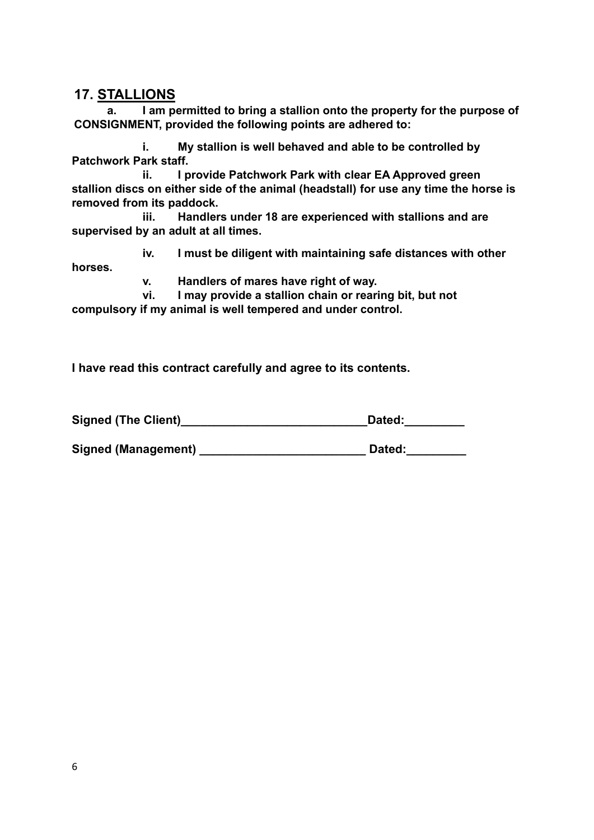#### **17. STALLIONS**

**a. I am permitted to bring a stallion onto the property for the purpose of CONSIGNMENT, provided the following points are adhered to:**

**i. My stallion is well behaved and able to be controlled by Patchwork Park staff.**

**ii. I provide Patchwork Park with clear EA Approved green stallion discs on either side of the animal (headstall) for use any time the horse is removed from its paddock.**

**iii. Handlers under 18 are experienced with stallions and are supervised by an adult at all times.**

**iv. I must be diligent with maintaining safe distances with other horses.**

**v. Handlers of mares have right of way.**

**vi. I may provide a stallion chain or rearing bit, but not compulsory if my animal is well tempered and under control.**

**I have read this contract carefully and agree to its contents.**

Signed (The Client) **Signed (The Client)** and the set of the set of the set of the set of the set of the set of the set of the set of the set of the set of the set of the set of the set of the set of the set of the set of

**Signed (Management) \_\_\_\_\_\_\_\_\_\_\_\_\_\_\_\_\_\_\_\_\_\_\_\_\_ Dated:\_\_\_\_\_\_\_\_\_**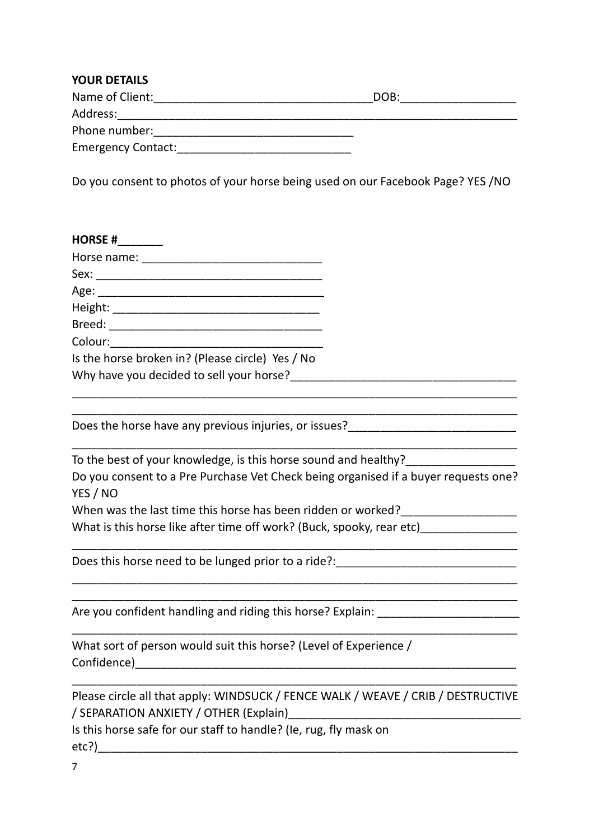| <b>YOUR DETAILS</b>       |      |  |
|---------------------------|------|--|
| Name of Client:           | DOB: |  |
| Address:                  |      |  |
| Phone number:             |      |  |
| <b>Emergency Contact:</b> |      |  |

Do you consent to photos of your horse being used on our Facebook Page? YES /NO

| <b>HORSE #</b>                                                                                                                                         |  |
|--------------------------------------------------------------------------------------------------------------------------------------------------------|--|
|                                                                                                                                                        |  |
|                                                                                                                                                        |  |
|                                                                                                                                                        |  |
|                                                                                                                                                        |  |
|                                                                                                                                                        |  |
| Colour:                                                                                                                                                |  |
| Is the horse broken in? (Please circle) Yes / No                                                                                                       |  |
| Why have you decided to sell your horse?                                                                                                               |  |
| Does the horse have any previous injuries, or issues?<br>Noes the horse have any previous injuries, or issues?                                         |  |
| To the best of your knowledge, is this horse sound and healthy?<br>Do you consent to a Pre Purchase Vet Check being organised if a buyer requests one? |  |
|                                                                                                                                                        |  |

YES / NO When was the last time this horse has been ridden or worked?

What is this horse like after time off work? (Buck, spooky, rear etc)

Does this horse need to be lunged prior to a ride?:

Are you confident handling and riding this horse? Explain: \_\_\_\_\_\_\_\_\_\_\_\_\_\_\_\_\_\_\_\_\_

What sort of person would suit this horse? (Level of Experience / Confidence)\_\_\_\_\_\_\_\_\_\_\_\_\_\_\_\_\_\_\_\_\_\_\_\_\_\_\_\_\_\_\_\_\_\_\_\_\_\_\_\_\_\_\_\_\_\_\_\_\_\_\_\_\_\_\_\_\_\_\_

Please circle all that apply: WINDSUCK / FENCE WALK / WEAVE / CRIB / DESTRUCTIVE / SEPARATION ANXIETY / OTHER (Explain)\_\_\_\_\_\_\_\_\_\_\_\_\_\_\_\_\_\_\_\_\_\_\_\_\_\_\_\_\_\_\_\_\_\_\_\_

\_\_\_\_\_\_\_\_\_\_\_\_\_\_\_\_\_\_\_\_\_\_\_\_\_\_\_\_\_\_\_\_\_\_\_\_\_\_\_\_\_\_\_\_\_\_\_\_\_\_\_\_\_\_\_\_\_\_\_\_\_\_\_\_\_\_\_\_\_

\_\_\_\_\_\_\_\_\_\_\_\_\_\_\_\_\_\_\_\_\_\_\_\_\_\_\_\_\_\_\_\_\_\_\_\_\_\_\_\_\_\_\_\_\_\_\_\_\_\_\_\_\_\_\_\_\_\_\_\_\_\_\_\_\_\_\_\_\_

\_\_\_\_\_\_\_\_\_\_\_\_\_\_\_\_\_\_\_\_\_\_\_\_\_\_\_\_\_\_\_\_\_\_\_\_\_\_\_\_\_\_\_\_\_\_\_\_\_\_\_\_\_\_\_\_\_\_\_\_\_\_\_\_\_\_\_\_\_ \_\_\_\_\_\_\_\_\_\_\_\_\_\_\_\_\_\_\_\_\_\_\_\_\_\_\_\_\_\_\_\_\_\_\_\_\_\_\_\_\_\_\_\_\_\_\_\_\_\_\_\_\_\_\_\_\_\_\_\_\_\_\_\_\_\_\_\_\_

\_\_\_\_\_\_\_\_\_\_\_\_\_\_\_\_\_\_\_\_\_\_\_\_\_\_\_\_\_\_\_\_\_\_\_\_\_\_\_\_\_\_\_\_\_\_\_\_\_\_\_\_\_\_\_\_\_\_\_\_\_\_\_\_\_\_\_\_\_

Is this horse safe for our staff to handle? (Ie, rug, fly mask on etc?)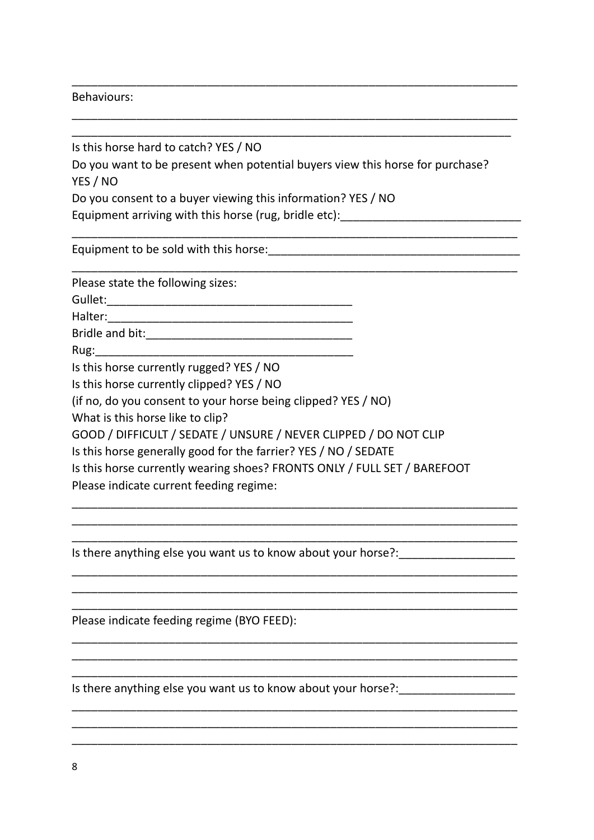#### Behaviours:

Is this horse hard to catch? YES / NO Do you want to be present when potential buyers view this horse for purchase? YES / NO Do you consent to a buyer viewing this information? YES / NO Equipment arriving with this horse (rug, bridle etc): \_\_\_\_\_\_\_\_\_\_\_\_\_\_\_\_\_\_\_\_\_\_\_\_\_\_

\_\_\_\_\_\_\_\_\_\_\_\_\_\_\_\_\_\_\_\_\_\_\_\_\_\_\_\_\_\_\_\_\_\_\_\_\_\_\_\_\_\_\_\_\_\_\_\_\_\_\_\_\_\_\_\_\_\_\_\_\_\_\_\_\_\_\_\_\_

\_\_\_\_\_\_\_\_\_\_\_\_\_\_\_\_\_\_\_\_\_\_\_\_\_\_\_\_\_\_\_\_\_\_\_\_\_\_\_\_\_\_\_\_\_\_\_\_\_\_\_\_\_\_\_\_\_\_\_\_\_\_\_\_\_\_\_\_\_

\_\_\_\_\_\_\_\_\_\_\_\_\_\_\_\_\_\_\_\_\_\_\_\_\_\_\_\_\_\_\_\_\_\_\_\_\_\_\_\_\_\_\_\_\_\_\_\_\_\_\_\_\_\_\_\_\_\_\_\_\_\_\_\_\_\_\_\_\_

\_\_\_\_\_\_\_\_\_\_\_\_\_\_\_\_\_\_\_\_\_\_\_\_\_\_\_\_\_\_\_\_\_\_\_\_\_\_\_\_\_\_\_\_\_\_\_\_\_\_\_\_\_\_\_\_\_\_\_\_\_\_\_\_\_\_\_\_\_ \_\_\_\_\_\_\_\_\_\_\_\_\_\_\_\_\_\_\_\_\_\_\_\_\_\_\_\_\_\_\_\_\_\_\_\_\_\_\_\_\_\_\_\_\_\_\_\_\_\_\_\_\_\_\_\_\_\_\_\_\_\_\_\_\_\_\_\_

Equipment to be sold with this horse: example the solid with this horse:

Please state the following sizes:

Gullet:\_\_\_\_\_\_\_\_\_\_\_\_\_\_\_\_\_\_\_\_\_\_\_\_\_\_\_\_\_\_\_\_\_\_\_\_\_\_

Halter:\_\_\_\_\_\_\_\_\_\_\_\_\_\_\_\_\_\_\_\_\_\_\_\_\_\_\_\_\_\_\_\_\_\_\_\_\_\_

Bridle and bit:\_\_\_\_\_\_\_\_\_\_\_\_\_\_\_\_\_\_\_\_\_\_\_\_\_\_\_\_\_\_\_\_

 $Rug:$ 

Is this horse currently rugged? YES / NO

Is this horse currently clipped? YES / NO

(if no, do you consent to your horse being clipped? YES / NO)

What is this horse like to clip?

GOOD / DIFFICULT / SEDATE / UNSURE / NEVER CLIPPED / DO NOT CLIP

Is this horse generally good for the farrier? YES / NO / SEDATE

Is this horse currently wearing shoes? FRONTS ONLY / FULL SET / BAREFOOT

\_\_\_\_\_\_\_\_\_\_\_\_\_\_\_\_\_\_\_\_\_\_\_\_\_\_\_\_\_\_\_\_\_\_\_\_\_\_\_\_\_\_\_\_\_\_\_\_\_\_\_\_\_\_\_\_\_\_\_\_\_\_\_\_\_\_\_\_\_ \_\_\_\_\_\_\_\_\_\_\_\_\_\_\_\_\_\_\_\_\_\_\_\_\_\_\_\_\_\_\_\_\_\_\_\_\_\_\_\_\_\_\_\_\_\_\_\_\_\_\_\_\_\_\_\_\_\_\_\_\_\_\_\_\_\_\_\_\_ \_\_\_\_\_\_\_\_\_\_\_\_\_\_\_\_\_\_\_\_\_\_\_\_\_\_\_\_\_\_\_\_\_\_\_\_\_\_\_\_\_\_\_\_\_\_\_\_\_\_\_\_\_\_\_\_\_\_\_\_\_\_\_\_\_\_\_\_\_

\_\_\_\_\_\_\_\_\_\_\_\_\_\_\_\_\_\_\_\_\_\_\_\_\_\_\_\_\_\_\_\_\_\_\_\_\_\_\_\_\_\_\_\_\_\_\_\_\_\_\_\_\_\_\_\_\_\_\_\_\_\_\_\_\_\_\_\_\_ \_\_\_\_\_\_\_\_\_\_\_\_\_\_\_\_\_\_\_\_\_\_\_\_\_\_\_\_\_\_\_\_\_\_\_\_\_\_\_\_\_\_\_\_\_\_\_\_\_\_\_\_\_\_\_\_\_\_\_\_\_\_\_\_\_\_\_\_\_ \_\_\_\_\_\_\_\_\_\_\_\_\_\_\_\_\_\_\_\_\_\_\_\_\_\_\_\_\_\_\_\_\_\_\_\_\_\_\_\_\_\_\_\_\_\_\_\_\_\_\_\_\_\_\_\_\_\_\_\_\_\_\_\_\_\_\_\_\_

\_\_\_\_\_\_\_\_\_\_\_\_\_\_\_\_\_\_\_\_\_\_\_\_\_\_\_\_\_\_\_\_\_\_\_\_\_\_\_\_\_\_\_\_\_\_\_\_\_\_\_\_\_\_\_\_\_\_\_\_\_\_\_\_\_\_\_\_\_ \_\_\_\_\_\_\_\_\_\_\_\_\_\_\_\_\_\_\_\_\_\_\_\_\_\_\_\_\_\_\_\_\_\_\_\_\_\_\_\_\_\_\_\_\_\_\_\_\_\_\_\_\_\_\_\_\_\_\_\_\_\_\_\_\_\_\_\_\_ \_\_\_\_\_\_\_\_\_\_\_\_\_\_\_\_\_\_\_\_\_\_\_\_\_\_\_\_\_\_\_\_\_\_\_\_\_\_\_\_\_\_\_\_\_\_\_\_\_\_\_\_\_\_\_\_\_\_\_\_\_\_\_\_\_\_\_\_\_

\_\_\_\_\_\_\_\_\_\_\_\_\_\_\_\_\_\_\_\_\_\_\_\_\_\_\_\_\_\_\_\_\_\_\_\_\_\_\_\_\_\_\_\_\_\_\_\_\_\_\_\_\_\_\_\_\_\_\_\_\_\_\_\_\_\_\_\_\_ \_\_\_\_\_\_\_\_\_\_\_\_\_\_\_\_\_\_\_\_\_\_\_\_\_\_\_\_\_\_\_\_\_\_\_\_\_\_\_\_\_\_\_\_\_\_\_\_\_\_\_\_\_\_\_\_\_\_\_\_\_\_\_\_\_\_\_\_\_ \_\_\_\_\_\_\_\_\_\_\_\_\_\_\_\_\_\_\_\_\_\_\_\_\_\_\_\_\_\_\_\_\_\_\_\_\_\_\_\_\_\_\_\_\_\_\_\_\_\_\_\_\_\_\_\_\_\_\_\_\_\_\_\_\_\_\_\_\_

Please indicate current feeding regime:

Is there anything else you want us to know about your horse?:\_\_\_\_\_\_\_\_\_\_\_\_\_\_\_\_\_\_

Please indicate feeding regime (BYO FEED):

Is there anything else you want us to know about your horse?: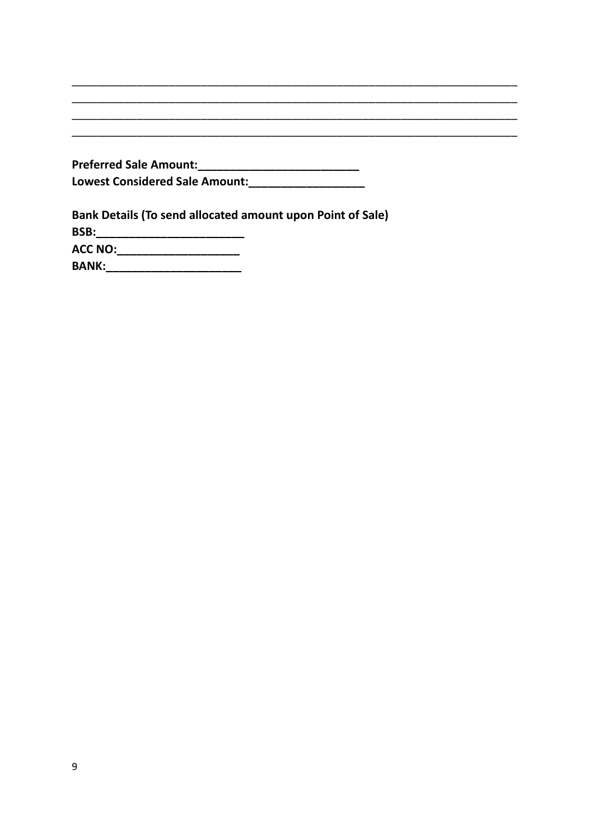| <b>Preferred Sale Amount:</b>         |
|---------------------------------------|
| <b>Lowest Considered Sale Amount:</b> |

 $\overline{\phantom{a}}$ 

\_\_\_\_\_\_\_\_\_\_\_

| Bank Details (To send allocated amount upon Point of Sale) |
|------------------------------------------------------------|
| BSB:                                                       |
| <b>ACC NO:</b>                                             |
| <b>BANK:</b>                                               |